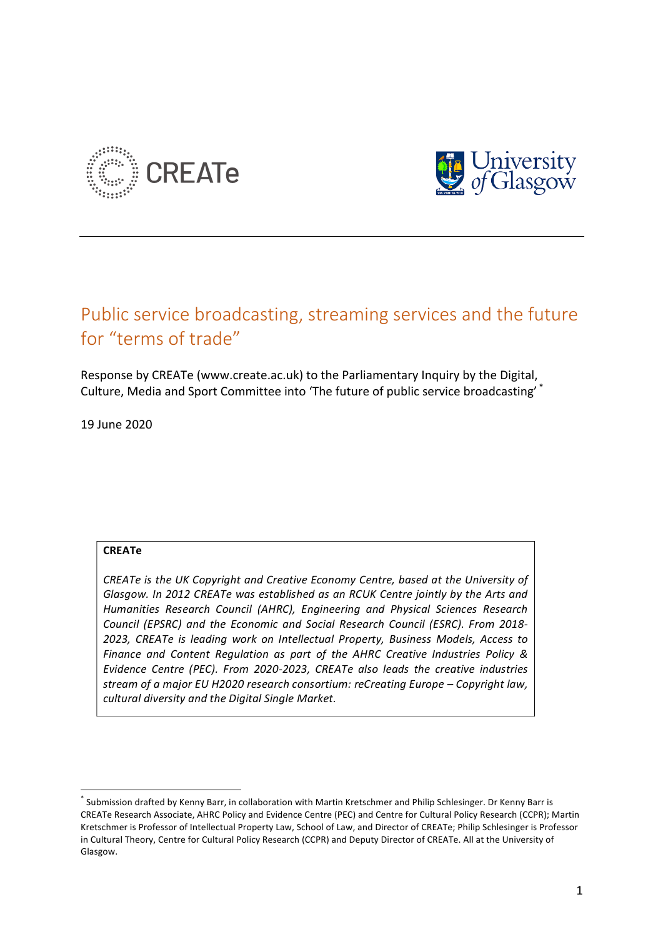



# Public service broadcasting, streaming services and the future for "terms of trade"

Response by CREATe (www.create.ac.uk) to the Parliamentary Inquiry by the Digital, Culture, Media and Sport Committee into 'The future of public service broadcasting' \*

19 June 2020

# **CREATe**

*CREATe* is the UK Copyright and Creative Economy Centre, based at the University of Glasgow. In 2012 CREATe was established as an RCUK Centre jointly by the Arts and *Humanities Research Council (AHRC), Engineering and Physical Sciences Research Council (EPSRC) and the Economic and Social Research Council (ESRC). From 2018-* 2023, CREATe is leading work on Intellectual Property, Business Models, Access to *Finance and Content Regulation as part of the AHRC Creative Industries Policy &* Evidence Centre (PEC). From 2020-2023, CREATe also leads the creative industries *stream of a major EU H2020 research consortium: reCreating Europe – Copyright law, cultural diversity and the Digital Single Market.*

 $^*$  Submission drafted by Kenny Barr, in collaboration with Martin Kretschmer and Philip Schlesinger. Dr Kenny Barr is CREATe Research Associate, AHRC Policy and Evidence Centre (PEC) and Centre for Cultural Policy Research (CCPR); Martin Kretschmer is Professor of Intellectual Property Law, School of Law, and Director of CREATe; Philip Schlesinger is Professor in Cultural Theory, Centre for Cultural Policy Research (CCPR) and Deputy Director of CREATe. All at the University of Glasgow.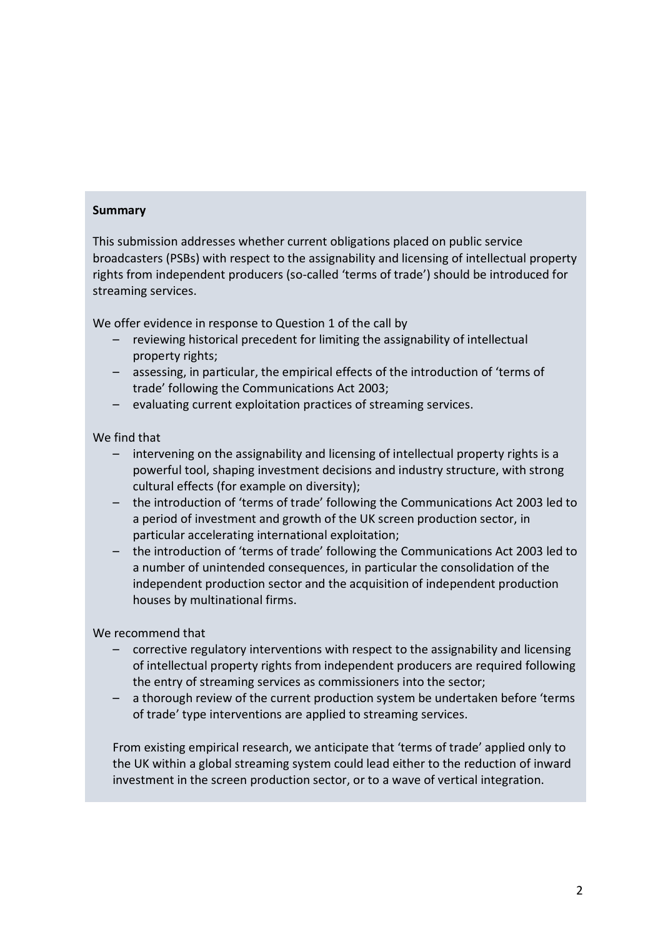# **Summary**

This submission addresses whether current obligations placed on public service broadcasters (PSBs) with respect to the assignability and licensing of intellectual property rights from independent producers (so-called 'terms of trade') should be introduced for streaming services.

We offer evidence in response to Question 1 of the call by

- reviewing historical precedent for limiting the assignability of intellectual property rights;
- assessing, in particular, the empirical effects of the introduction of 'terms of trade' following the Communications Act 2003;
- $-$  evaluating current exploitation practices of streaming services.

## We find that

- intervening on the assignability and licensing of intellectual property rights is a powerful tool, shaping investment decisions and industry structure, with strong cultural effects (for example on diversity);
- the introduction of 'terms of trade' following the Communications Act 2003 led to a period of investment and growth of the UK screen production sector, in particular accelerating international exploitation;
- the introduction of 'terms of trade' following the Communications Act 2003 led to a number of unintended consequences, in particular the consolidation of the independent production sector and the acquisition of independent production houses by multinational firms.

We recommend that

- corrective regulatory interventions with respect to the assignability and licensing of intellectual property rights from independent producers are required following the entry of streaming services as commissioners into the sector;
- $-$  a thorough review of the current production system be undertaken before 'terms of trade' type interventions are applied to streaming services.

From existing empirical research, we anticipate that 'terms of trade' applied only to the UK within a global streaming system could lead either to the reduction of inward investment in the screen production sector, or to a wave of vertical integration.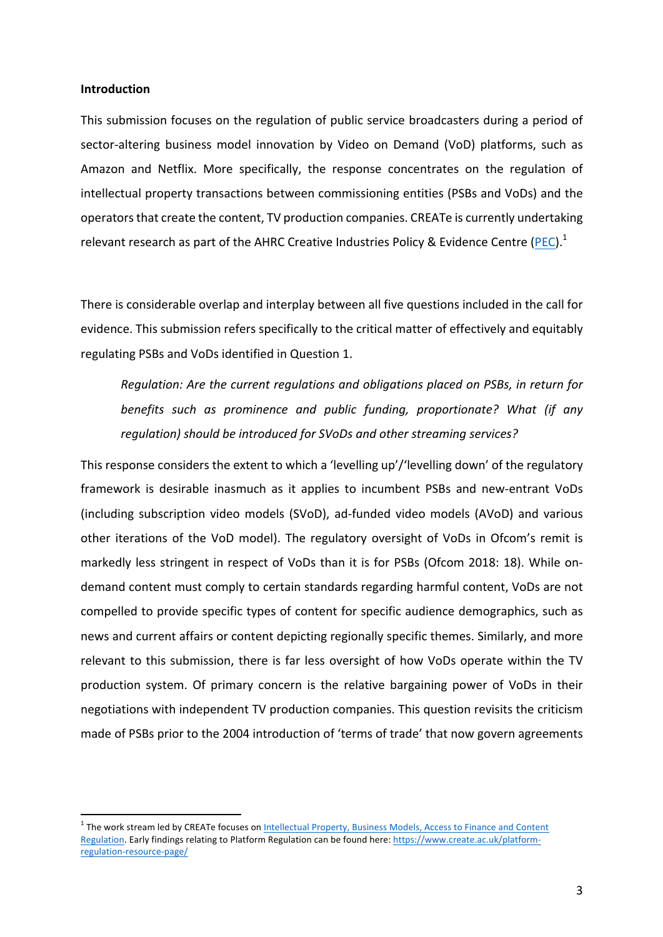#### **Introduction**

This submission focuses on the regulation of public service broadcasters during a period of sector-altering business model innovation by Video on Demand (VoD) platforms, such as Amazon and Netflix. More specifically, the response concentrates on the regulation of intellectual property transactions between commissioning entities (PSBs and VoDs) and the operators that create the content, TV production companies. CREATe is currently undertaking relevant research as part of the AHRC Creative Industries Policy & Evidence Centre (PEC).<sup>1</sup>

There is considerable overlap and interplay between all five questions included in the call for evidence. This submission refers specifically to the critical matter of effectively and equitably regulating PSBs and VoDs identified in Question 1.

*Regulation:* Are the current regulations and obligations placed on PSBs, in return for *benefits* such as prominence and public funding, proportionate? What (if any regulation) should be introduced for SVoDs and other streaming services?

This response considers the extent to which a 'levelling up'/'levelling down' of the regulatory framework is desirable inasmuch as it applies to incumbent PSBs and new-entrant VoDs (including subscription video models (SVoD), ad-funded video models (AVoD) and various other iterations of the VoD model). The regulatory oversight of VoDs in Ofcom's remit is markedly less stringent in respect of VoDs than it is for PSBs (Ofcom 2018: 18). While ondemand content must comply to certain standards regarding harmful content, VoDs are not compelled to provide specific types of content for specific audience demographics, such as news and current affairs or content depicting regionally specific themes. Similarly, and more relevant to this submission, there is far less oversight of how VoDs operate within the TV production system. Of primary concern is the relative bargaining power of VoDs in their negotiations with independent TV production companies. This question revisits the criticism made of PSBs prior to the 2004 introduction of 'terms of trade' that now govern agreements

<sup>&</sup>lt;sup>1</sup> The work stream led by CREATe focuses on Intellectual Property, Business Models, Access to Finance and Content Regulation. Early findings relating to Platform Regulation can be found here: https://www.create.ac.uk/platformregulation-resource-page/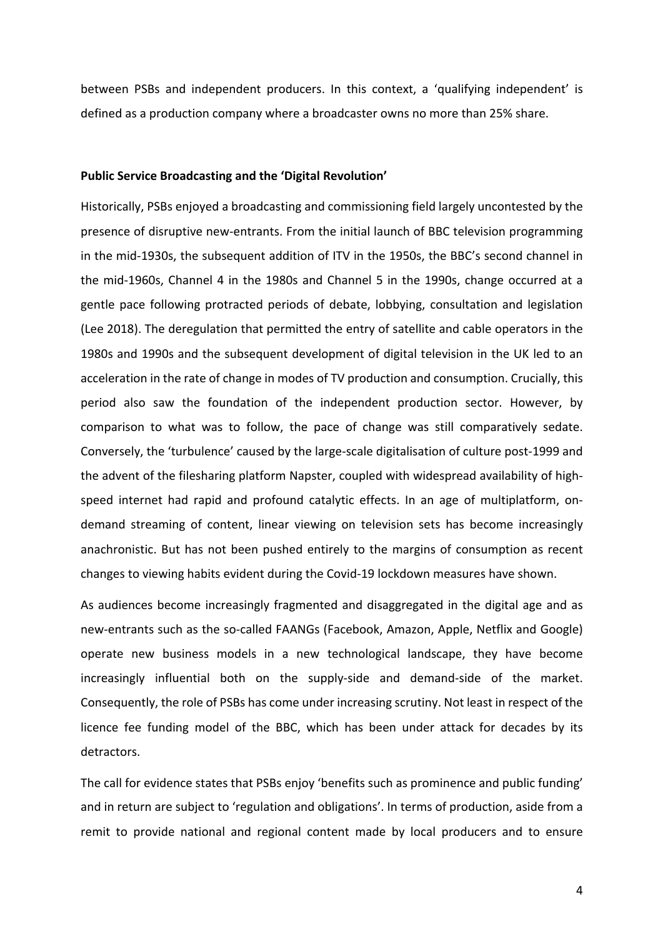between PSBs and independent producers. In this context, a 'qualifying independent' is defined as a production company where a broadcaster owns no more than 25% share.

### Public Service Broadcasting and the 'Digital Revolution'

Historically, PSBs enjoyed a broadcasting and commissioning field largely uncontested by the presence of disruptive new-entrants. From the initial launch of BBC television programming in the mid-1930s, the subsequent addition of ITV in the 1950s, the BBC's second channel in the mid-1960s, Channel 4 in the 1980s and Channel 5 in the 1990s, change occurred at a gentle pace following protracted periods of debate, lobbying, consultation and legislation (Lee 2018). The deregulation that permitted the entry of satellite and cable operators in the 1980s and 1990s and the subsequent development of digital television in the UK led to an acceleration in the rate of change in modes of TV production and consumption. Crucially, this period also saw the foundation of the independent production sector. However, by comparison to what was to follow, the pace of change was still comparatively sedate. Conversely, the 'turbulence' caused by the large-scale digitalisation of culture post-1999 and the advent of the filesharing platform Napster, coupled with widespread availability of highspeed internet had rapid and profound catalytic effects. In an age of multiplatform, ondemand streaming of content, linear viewing on television sets has become increasingly anachronistic. But has not been pushed entirely to the margins of consumption as recent changes to viewing habits evident during the Covid-19 lockdown measures have shown.

As audiences become increasingly fragmented and disaggregated in the digital age and as new-entrants such as the so-called FAANGs (Facebook, Amazon, Apple, Netflix and Google) operate new business models in a new technological landscape, they have become increasingly influential both on the supply-side and demand-side of the market. Consequently, the role of PSBs has come under increasing scrutiny. Not least in respect of the licence fee funding model of the BBC, which has been under attack for decades by its detractors. 

The call for evidence states that PSBs enjoy 'benefits such as prominence and public funding' and in return are subject to 'regulation and obligations'. In terms of production, aside from a remit to provide national and regional content made by local producers and to ensure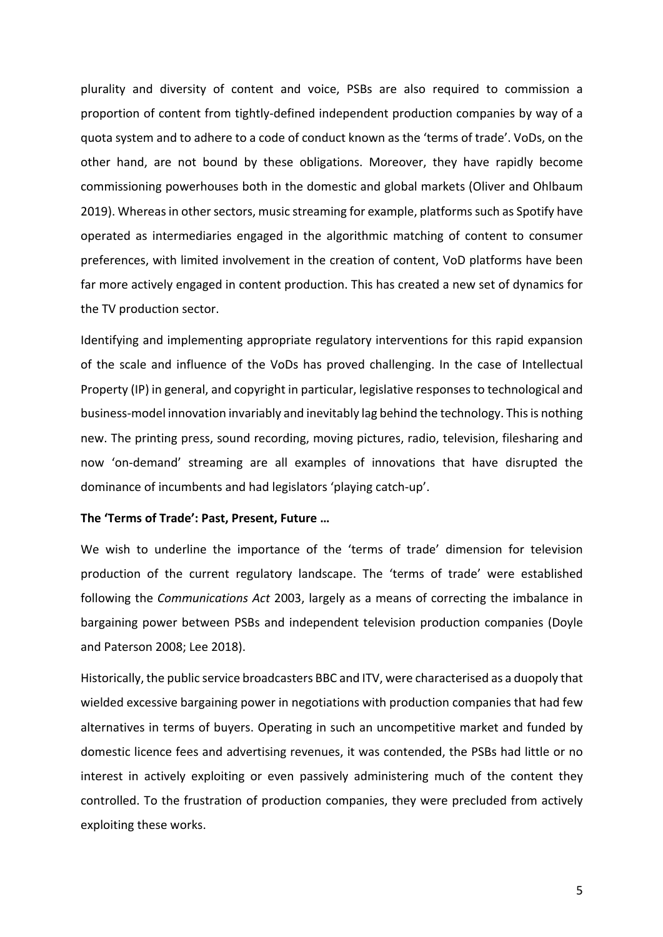plurality and diversity of content and voice, PSBs are also required to commission a proportion of content from tightly-defined independent production companies by way of a quota system and to adhere to a code of conduct known as the 'terms of trade'. VoDs, on the other hand, are not bound by these obligations. Moreover, they have rapidly become commissioning powerhouses both in the domestic and global markets (Oliver and Ohlbaum 2019). Whereas in other sectors, music streaming for example, platforms such as Spotify have operated as intermediaries engaged in the algorithmic matching of content to consumer preferences, with limited involvement in the creation of content, VoD platforms have been far more actively engaged in content production. This has created a new set of dynamics for the TV production sector.

Identifying and implementing appropriate regulatory interventions for this rapid expansion of the scale and influence of the VoDs has proved challenging. In the case of Intellectual Property (IP) in general, and copyright in particular, legislative responses to technological and business-model innovation invariably and inevitably lag behind the technology. This is nothing new. The printing press, sound recording, moving pictures, radio, television, filesharing and now 'on-demand' streaming are all examples of innovations that have disrupted the dominance of incumbents and had legislators 'playing catch-up'.

#### The 'Terms of Trade': Past, Present, Future ...

We wish to underline the importance of the 'terms of trade' dimension for television production of the current regulatory landscape. The 'terms of trade' were established following the *Communications Act* 2003, largely as a means of correcting the imbalance in bargaining power between PSBs and independent television production companies (Doyle and Paterson 2008; Lee 2018).

Historically, the public service broadcasters BBC and ITV, were characterised as a duopoly that wielded excessive bargaining power in negotiations with production companies that had few alternatives in terms of buyers. Operating in such an uncompetitive market and funded by domestic licence fees and advertising revenues, it was contended, the PSBs had little or no interest in actively exploiting or even passively administering much of the content they controlled. To the frustration of production companies, they were precluded from actively exploiting these works.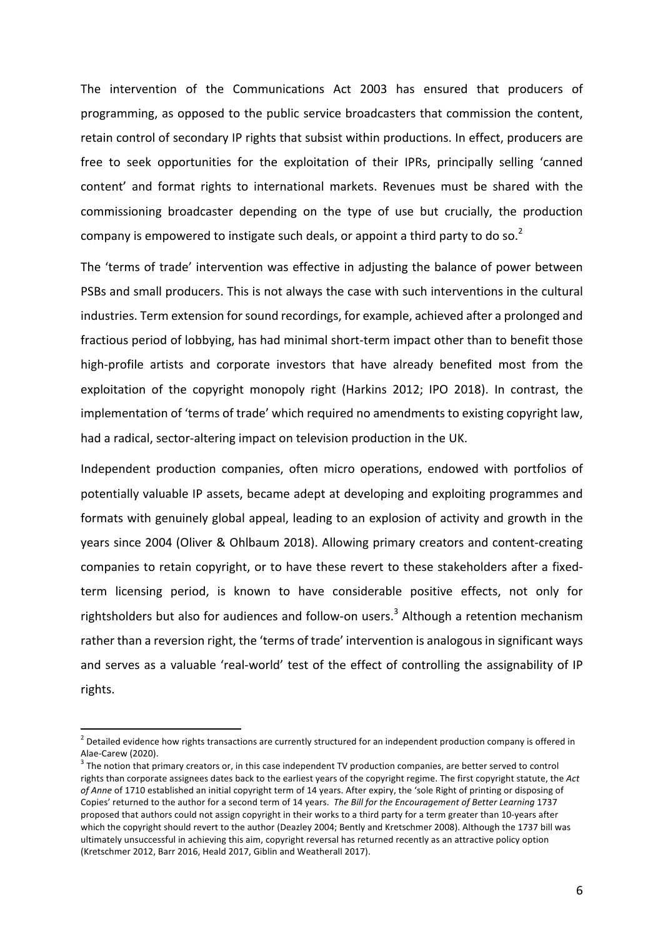The intervention of the Communications Act 2003 has ensured that producers of programming, as opposed to the public service broadcasters that commission the content, retain control of secondary IP rights that subsist within productions. In effect, producers are free to seek opportunities for the exploitation of their IPRs, principally selling 'canned content' and format rights to international markets. Revenues must be shared with the commissioning broadcaster depending on the type of use but crucially, the production company is empowered to instigate such deals, or appoint a third party to do so.<sup>2</sup>

The 'terms of trade' intervention was effective in adjusting the balance of power between PSBs and small producers. This is not always the case with such interventions in the cultural industries. Term extension for sound recordings, for example, achieved after a prolonged and fractious period of lobbying, has had minimal short-term impact other than to benefit those high-profile artists and corporate investors that have already benefited most from the exploitation of the copyright monopoly right (Harkins 2012; IPO 2018). In contrast, the implementation of 'terms of trade' which required no amendments to existing copyright law, had a radical, sector-altering impact on television production in the UK.

Independent production companies, often micro operations, endowed with portfolios of potentially valuable IP assets, became adept at developing and exploiting programmes and formats with genuinely global appeal, leading to an explosion of activity and growth in the years since 2004 (Oliver & Ohlbaum 2018). Allowing primary creators and content-creating companies to retain copyright, or to have these revert to these stakeholders after a fixedterm licensing period, is known to have considerable positive effects, not only for rightsholders but also for audiences and follow-on users.<sup>3</sup> Although a retention mechanism rather than a reversion right, the 'terms of trade' intervention is analogous in significant ways and serves as a valuable 'real-world' test of the effect of controlling the assignability of IP rights. 

 $2$  Detailed evidence how rights transactions are currently structured for an independent production company is offered in Alae-Carew (2020).<br><sup>3</sup> The notion that primary creators or, in this case independent TV production companies, are better served to control

rights than corporate assignees dates back to the earliest years of the copyright regime. The first copyright statute, the Act of Anne of 1710 established an initial copyright term of 14 years. After expiry, the 'sole Right of printing or disposing of Copies' returned to the author for a second term of 14 years. The Bill for the Encouragement of Better Learning 1737 proposed that authors could not assign copyright in their works to a third party for a term greater than 10-years after which the copyright should revert to the author (Deazley 2004; Bently and Kretschmer 2008). Although the 1737 bill was ultimately unsuccessful in achieving this aim, copyright reversal has returned recently as an attractive policy option (Kretschmer 2012, Barr 2016, Heald 2017, Giblin and Weatherall 2017).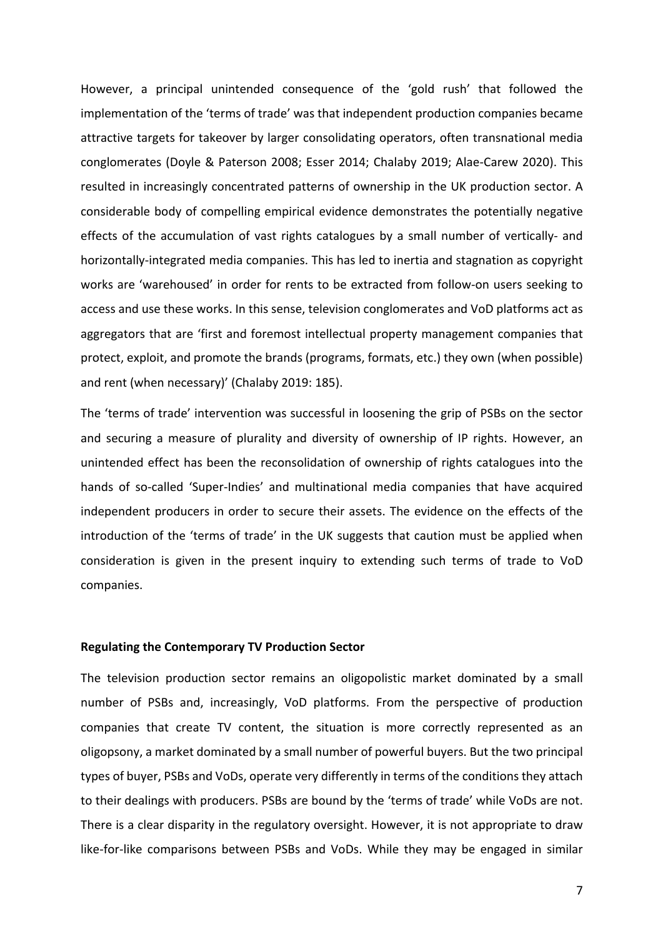However, a principal unintended consequence of the 'gold rush' that followed the implementation of the 'terms of trade' was that independent production companies became attractive targets for takeover by larger consolidating operators, often transnational media conglomerates (Doyle & Paterson 2008; Esser 2014; Chalaby 2019; Alae-Carew 2020). This resulted in increasingly concentrated patterns of ownership in the UK production sector. A considerable body of compelling empirical evidence demonstrates the potentially negative effects of the accumulation of vast rights catalogues by a small number of vertically- and horizontally-integrated media companies. This has led to inertia and stagnation as copyright works are 'warehoused' in order for rents to be extracted from follow-on users seeking to access and use these works. In this sense, television conglomerates and VoD platforms act as aggregators that are 'first and foremost intellectual property management companies that protect, exploit, and promote the brands (programs, formats, etc.) they own (when possible) and rent (when necessary)' (Chalaby 2019: 185).

The 'terms of trade' intervention was successful in loosening the grip of PSBs on the sector and securing a measure of plurality and diversity of ownership of IP rights. However, an unintended effect has been the reconsolidation of ownership of rights catalogues into the hands of so-called 'Super-Indies' and multinational media companies that have acquired independent producers in order to secure their assets. The evidence on the effects of the introduction of the 'terms of trade' in the UK suggests that caution must be applied when consideration is given in the present inquiry to extending such terms of trade to VoD companies.

#### **Regulating the Contemporary TV Production Sector**

The television production sector remains an oligopolistic market dominated by a small number of PSBs and, increasingly, VoD platforms. From the perspective of production companies that create TV content, the situation is more correctly represented as an oligopsony, a market dominated by a small number of powerful buyers. But the two principal types of buyer, PSBs and VoDs, operate very differently in terms of the conditions they attach to their dealings with producers. PSBs are bound by the 'terms of trade' while VoDs are not. There is a clear disparity in the regulatory oversight. However, it is not appropriate to draw like-for-like comparisons between PSBs and VoDs. While they may be engaged in similar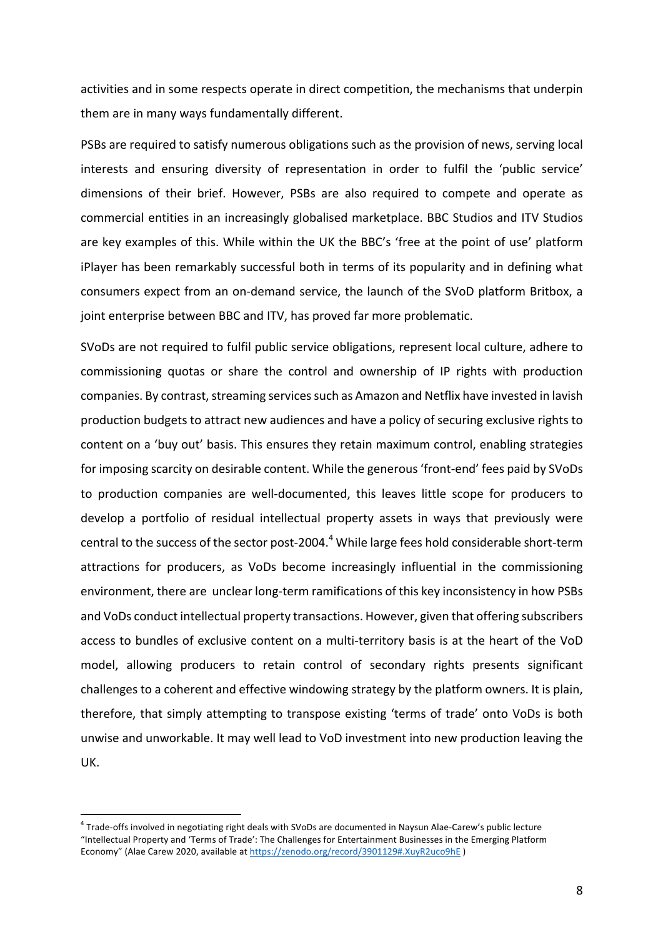activities and in some respects operate in direct competition, the mechanisms that underpin them are in many ways fundamentally different.

PSBs are required to satisfy numerous obligations such as the provision of news, serving local interests and ensuring diversity of representation in order to fulfil the 'public service' dimensions of their brief. However, PSBs are also required to compete and operate as commercial entities in an increasingly globalised marketplace. BBC Studios and ITV Studios are key examples of this. While within the UK the BBC's 'free at the point of use' platform iPlayer has been remarkably successful both in terms of its popularity and in defining what consumers expect from an on-demand service, the launch of the SVoD platform Britbox, a joint enterprise between BBC and ITV, has proved far more problematic.

SVoDs are not required to fulfil public service obligations, represent local culture, adhere to commissioning quotas or share the control and ownership of IP rights with production companies. By contrast, streaming services such as Amazon and Netflix have invested in lavish production budgets to attract new audiences and have a policy of securing exclusive rights to content on a 'buy out' basis. This ensures they retain maximum control, enabling strategies for imposing scarcity on desirable content. While the generous 'front-end' fees paid by SVoDs to production companies are well-documented, this leaves little scope for producers to develop a portfolio of residual intellectual property assets in ways that previously were central to the success of the sector post-2004.<sup>4</sup> While large fees hold considerable short-term attractions for producers, as VoDs become increasingly influential in the commissioning environment, there are unclear long-term ramifications of this key inconsistency in how PSBs and VoDs conduct intellectual property transactions. However, given that offering subscribers access to bundles of exclusive content on a multi-territory basis is at the heart of the VoD model, allowing producers to retain control of secondary rights presents significant challenges to a coherent and effective windowing strategy by the platform owners. It is plain, therefore, that simply attempting to transpose existing 'terms of trade' onto VoDs is both unwise and unworkable. It may well lead to VoD investment into new production leaving the UK.

 $4$  Trade-offs involved in negotiating right deals with SVoDs are documented in Naysun Alae-Carew's public lecture "Intellectual Property and 'Terms of Trade': The Challenges for Entertainment Businesses in the Emerging Platform Economy" (Alae Carew 2020, available at https://zenodo.org/record/3901129#.XuyR2uco9hE)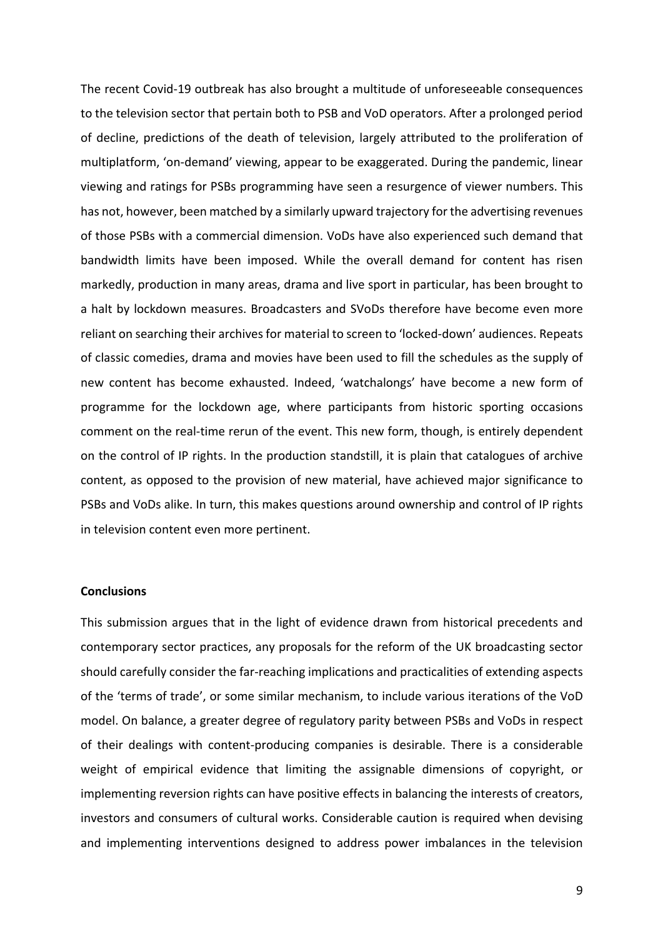The recent Covid-19 outbreak has also brought a multitude of unforeseeable consequences to the television sector that pertain both to PSB and VoD operators. After a prolonged period of decline, predictions of the death of television, largely attributed to the proliferation of multiplatform, 'on-demand' viewing, appear to be exaggerated. During the pandemic, linear viewing and ratings for PSBs programming have seen a resurgence of viewer numbers. This has not, however, been matched by a similarly upward trajectory for the advertising revenues of those PSBs with a commercial dimension. VoDs have also experienced such demand that bandwidth limits have been imposed. While the overall demand for content has risen markedly, production in many areas, drama and live sport in particular, has been brought to a halt by lockdown measures. Broadcasters and SVoDs therefore have become even more reliant on searching their archives for material to screen to 'locked-down' audiences. Repeats of classic comedies, drama and movies have been used to fill the schedules as the supply of new content has become exhausted. Indeed, 'watchalongs' have become a new form of programme for the lockdown age, where participants from historic sporting occasions comment on the real-time rerun of the event. This new form, though, is entirely dependent on the control of IP rights. In the production standstill, it is plain that catalogues of archive content, as opposed to the provision of new material, have achieved major significance to PSBs and VoDs alike. In turn, this makes questions around ownership and control of IP rights in television content even more pertinent.

#### **Conclusions**

This submission argues that in the light of evidence drawn from historical precedents and contemporary sector practices, any proposals for the reform of the UK broadcasting sector should carefully consider the far-reaching implications and practicalities of extending aspects of the 'terms of trade', or some similar mechanism, to include various iterations of the VoD model. On balance, a greater degree of regulatory parity between PSBs and VoDs in respect of their dealings with content-producing companies is desirable. There is a considerable weight of empirical evidence that limiting the assignable dimensions of copyright, or implementing reversion rights can have positive effects in balancing the interests of creators, investors and consumers of cultural works. Considerable caution is required when devising and implementing interventions designed to address power imbalances in the television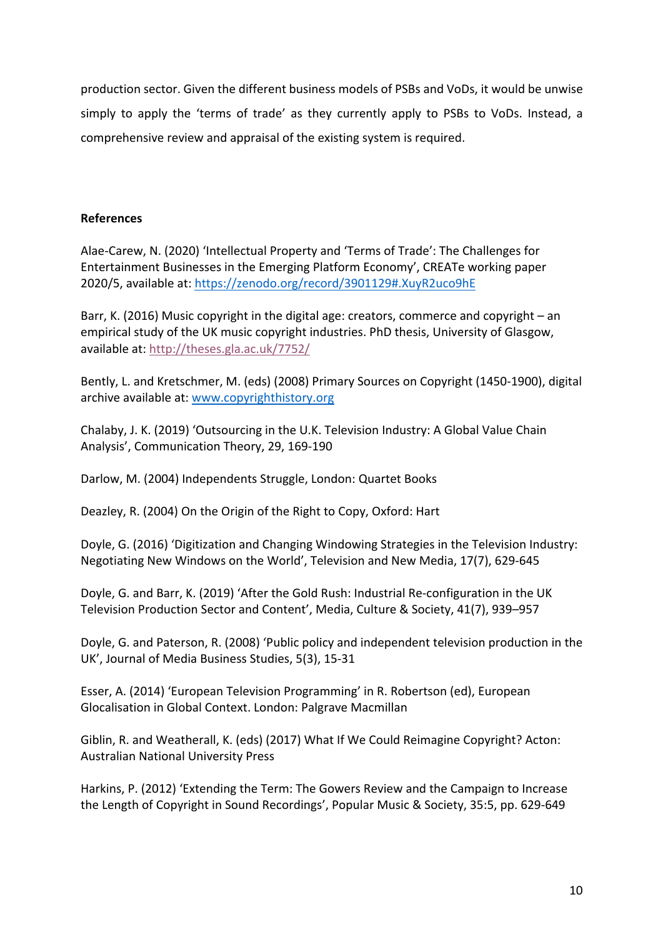production sector. Given the different business models of PSBs and VoDs, it would be unwise simply to apply the 'terms of trade' as they currently apply to PSBs to VoDs. Instead, a comprehensive review and appraisal of the existing system is required.

# **References**

Alae-Carew, N. (2020) 'Intellectual Property and 'Terms of Trade': The Challenges for Entertainment Businesses in the Emerging Platform Economy', CREATe working paper 2020/5, available at: https://zenodo.org/record/3901129#.XuyR2uco9hE

Barr, K. (2016) Music copyright in the digital age: creators, commerce and copyright – an empirical study of the UK music copyright industries. PhD thesis, University of Glasgow, available at: http://theses.gla.ac.uk/7752/

Bently, L. and Kretschmer, M. (eds) (2008) Primary Sources on Copyright (1450-1900), digital archive available at: www.copyrighthistory.org

Chalaby, J. K. (2019) 'Outsourcing in the U.K. Television Industry: A Global Value Chain Analysis', Communication Theory, 29, 169-190

Darlow, M. (2004) Independents Struggle, London: Quartet Books

Deazley, R. (2004) On the Origin of the Right to Copy, Oxford: Hart

Doyle, G. (2016) 'Digitization and Changing Windowing Strategies in the Television Industry: Negotiating New Windows on the World', Television and New Media, 17(7), 629-645

Doyle, G. and Barr, K. (2019) 'After the Gold Rush: Industrial Re-configuration in the UK Television Production Sector and Content', Media, Culture & Society, 41(7), 939-957

Doyle, G. and Paterson, R. (2008) 'Public policy and independent television production in the UK', Journal of Media Business Studies, 5(3), 15-31

Esser, A. (2014) 'European Television Programming' in R. Robertson (ed), European Glocalisation in Global Context. London: Palgrave Macmillan

Giblin, R. and Weatherall, K. (eds) (2017) What If We Could Reimagine Copyright? Acton: Australian National University Press

Harkins, P. (2012) 'Extending the Term: The Gowers Review and the Campaign to Increase the Length of Copyright in Sound Recordings', Popular Music & Society, 35:5, pp. 629-649